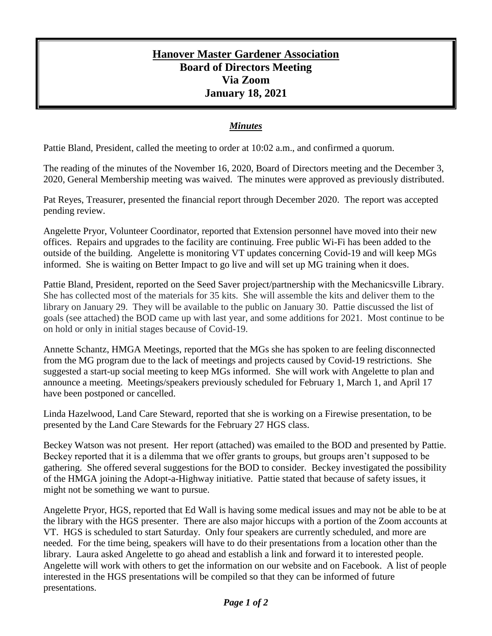## **Hanover Master Gardener Association Board of Directors Meeting Via Zoom January 18, 2021**

## *Minutes*

Pattie Bland, President, called the meeting to order at 10:02 a.m., and confirmed a quorum.

The reading of the minutes of the November 16, 2020, Board of Directors meeting and the December 3, 2020, General Membership meeting was waived. The minutes were approved as previously distributed.

Pat Reyes, Treasurer, presented the financial report through December 2020. The report was accepted pending review.

Angelette Pryor, Volunteer Coordinator, reported that Extension personnel have moved into their new offices. Repairs and upgrades to the facility are continuing. Free public Wi-Fi has been added to the outside of the building. Angelette is monitoring VT updates concerning Covid-19 and will keep MGs informed. She is waiting on Better Impact to go live and will set up MG training when it does.

Pattie Bland, President, reported on the Seed Saver project/partnership with the Mechanicsville Library. She has collected most of the materials for 35 kits. She will assemble the kits and deliver them to the library on January 29. They will be available to the public on January 30. Pattie discussed the list of goals (see attached) the BOD came up with last year, and some additions for 2021. Most continue to be on hold or only in initial stages because of Covid-19.

Annette Schantz, HMGA Meetings, reported that the MGs she has spoken to are feeling disconnected from the MG program due to the lack of meetings and projects caused by Covid-19 restrictions. She suggested a start-up social meeting to keep MGs informed. She will work with Angelette to plan and announce a meeting. Meetings/speakers previously scheduled for February 1, March 1, and April 17 have been postponed or cancelled.

Linda Hazelwood, Land Care Steward, reported that she is working on a Firewise presentation, to be presented by the Land Care Stewards for the February 27 HGS class.

Beckey Watson was not present. Her report (attached) was emailed to the BOD and presented by Pattie. Beckey reported that it is a dilemma that we offer grants to groups, but groups aren't supposed to be gathering. She offered several suggestions for the BOD to consider. Beckey investigated the possibility of the HMGA joining the Adopt-a-Highway initiative. Pattie stated that because of safety issues, it might not be something we want to pursue.

Angelette Pryor, HGS, reported that Ed Wall is having some medical issues and may not be able to be at the library with the HGS presenter. There are also major hiccups with a portion of the Zoom accounts at VT. HGS is scheduled to start Saturday. Only four speakers are currently scheduled, and more are needed. For the time being, speakers will have to do their presentations from a location other than the library. Laura asked Angelette to go ahead and establish a link and forward it to interested people. Angelette will work with others to get the information on our website and on Facebook. A list of people interested in the HGS presentations will be compiled so that they can be informed of future presentations.